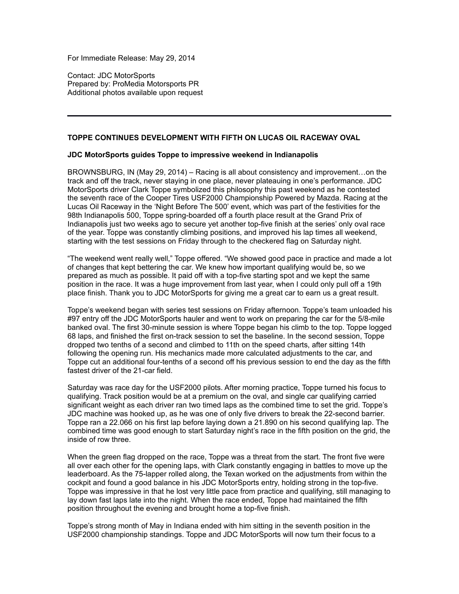For Immediate Release: May 29, 2014

Contact: JDC MotorSports Prepared by: ProMedia Motorsports PR Additional photos available upon request

## **TOPPE CONTINUES DEVELOPMENT WITH FIFTH ON LUCAS OIL RACEWAY OVAL**

## **JDC MotorSports guides Toppe to impressive weekend in Indianapolis**

BROWNSBURG, IN (May 29, 2014) – Racing is all about consistency and improvement…on the track and off the track, never staying in one place, never plateauing in one's performance. JDC MotorSports driver Clark Toppe symbolized this philosophy this past weekend as he contested the seventh race of the Cooper Tires USF2000 Championship Powered by Mazda. Racing at the Lucas Oil Raceway in the 'Night Before The 500' event, which was part of the festivities for the 98th Indianapolis 500, Toppe spring-boarded off a fourth place result at the Grand Prix of Indianapolis just two weeks ago to secure yet another top-five finish at the series' only oval race of the year. Toppe was constantly climbing positions, and improved his lap times all weekend, starting with the test sessions on Friday through to the checkered flag on Saturday night.

"The weekend went really well," Toppe offered. "We showed good pace in practice and made a lot of changes that kept bettering the car. We knew how important qualifying would be, so we prepared as much as possible. It paid off with a top-five starting spot and we kept the same position in the race. It was a huge improvement from last year, when I could only pull off a 19th place finish. Thank you to JDC MotorSports for giving me a great car to earn us a great result.

Toppe's weekend began with series test sessions on Friday afternoon. Toppe's team unloaded his #97 entry off the JDC MotorSports hauler and went to work on preparing the car for the 5/8-mile banked oval. The first 30-minute session is where Toppe began his climb to the top. Toppe logged 68 laps, and finished the first on-track session to set the baseline. In the second session, Toppe dropped two tenths of a second and climbed to 11th on the speed charts, after sitting 14th following the opening run. His mechanics made more calculated adjustments to the car, and Toppe cut an additional four-tenths of a second off his previous session to end the day as the fifth fastest driver of the 21-car field.

Saturday was race day for the USF2000 pilots. After morning practice, Toppe turned his focus to qualifying. Track position would be at a premium on the oval, and single car qualifying carried significant weight as each driver ran two timed laps as the combined time to set the grid. Toppe's JDC machine was hooked up, as he was one of only five drivers to break the 22-second barrier. Toppe ran a 22.066 on his first lap before laying down a 21.890 on his second qualifying lap. The combined time was good enough to start Saturday night's race in the fifth position on the grid, the inside of row three.

When the green flag dropped on the race, Toppe was a threat from the start. The front five were all over each other for the opening laps, with Clark constantly engaging in battles to move up the leaderboard. As the 75-lapper rolled along, the Texan worked on the adjustments from within the cockpit and found a good balance in his JDC MotorSports entry, holding strong in the top-five. Toppe was impressive in that he lost very little pace from practice and qualifying, still managing to lay down fast laps late into the night. When the race ended, Toppe had maintained the fifth position throughout the evening and brought home a top-five finish.

Toppe's strong month of May in Indiana ended with him sitting in the seventh position in the USF2000 championship standings. Toppe and JDC MotorSports will now turn their focus to a